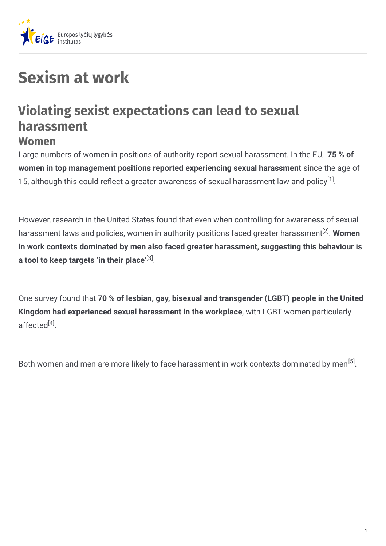

## **Sexism at work**

## **Violating sexist expectations can lead to sexual harassment Women**

Large numbers of women in positions of authority report sexual harassment. In the EU, **75 % of women in top management positions reported experiencing sexual harassment** since the age of 15, although this could reflect a greater awareness of sexual harassment law and policy $^{[1]}$ .

However, research in the United States found that even when controlling for awareness of sexual harassment laws and policies, women in authority positions faced greater harassment<sup>[2]</sup>. **Women in work contexts dominated by men also faced greater harassment, suggesting this behaviour is a** tool to keep targets 'in their place'<sup>[3]</sup>.

One survey found that **70 % of lesbian, gay, bisexual and transgender (LGBT) people in the United Kingdom had experienced sexual harassment in the workplace**, with LGBT women particularly affected<sup>[4]</sup>.

Both women and men are more likely to face harassment in work contexts dominated by men<sup>[5]</sup>.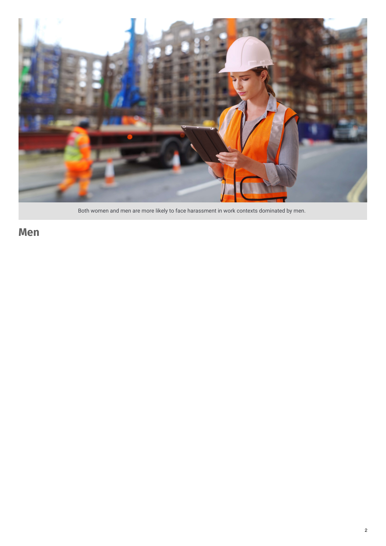

Both women and men are more likely to face harassment in work contexts dominated by men.

**Men**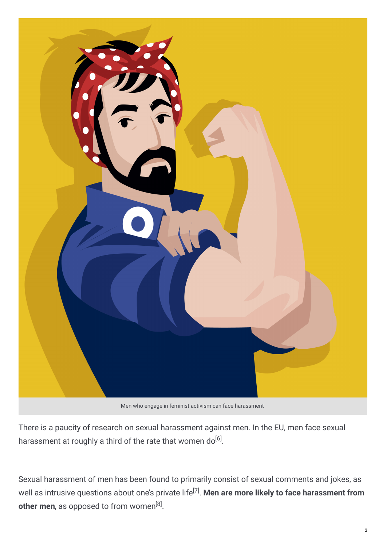

Men who engage in feminist activism can face harassment

There is a paucity of research on sexual harassment against men. In the EU, men face sexual harassment at roughly a third of the rate that women do $^{[6]}$ .

Sexual harassment of men has been found to primarily consist of sexual comments and jokes, as  $\epsilon$  well as intrusive questions about one's private life<sup>[7]</sup>. **Men are more likely to face harassment from other men**, as opposed to from women<sup>[8]</sup>.